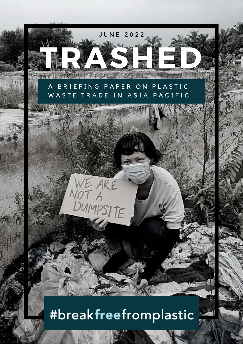

# #breakfreefromplastic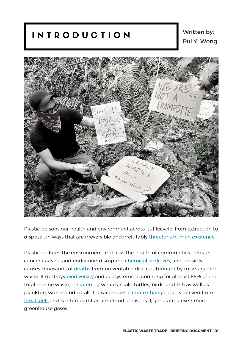# I N T R O D U C T I O N

## Written by: Pui Yi Wong



Plastic poisons our health and environment across its lifecycle, from extraction to disposal, in ways that are irreversible and irrefutably threatens human [existence](https://eia-international.org/report/connecting-the-dots-plastic-pollution-and-the-planetary-emergency/).

Plastic pollutes the environment and risks the [health](http://www.ciel.org/wp-content/uploads/2022/02/CIEL_2-pagers_The-Hidden-Costs-of-a-Plastic-Planet-Health.pdf) of communities through cancer-causing and endocrine-disrupting chemical [additives,](https://ipen.org/news/new-global-studies-show-health-threats-throughout-plastics-supply-chain) and possibly causes thousands of [deaths](https://www.theguardian.com/environment/2019/may/14/mismanaged-waste-kills-up-to-a-million-people-a-year-globally) from preventable diseases brought by mismanaged waste. It destroys **[biodiversity](https://wwfint.awsassets.panda.org/downloads/wwf_impacts_of_plastic_pollution_on_biodiversity.pdf)** and ecosystems, accounting for at least 85% of the total marine waste, [threatening](https://wedocs.unep.org/xmlui/bitstream/handle/20.500.11822/36963/POLSOL.pdf) whales, seals, turtles, birds, and fish as well as plankton, worms and corals. It exacerbates climate [change](https://www.ciel.org/project-update/plastic-climate-the-hidden-costs-of-a-plastic-planet/) as it is derived from [fossil](https://www.no-burn.org/wp-content/uploads/Plastic-is-Carbon-Oct2021.pdf) fuels and is often burnt as a method of disposal, generating even more greenhouse gases.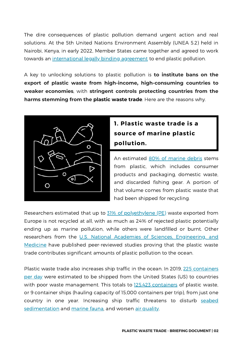The dire consequences of plastic pollution demand urgent action and real solutions. At the 5th United Nations Environment Assembly (UNEA 5.2) held in Nairobi, Kenya, in early 2022, Member States came together and agreed to work towards an [international](https://wedocs.unep.org/bitstream/handle/20.500.11822/38522/k2200647_-_unep-ea-5-l-23-rev-1_-_advance.pdf?sequence=1&isAllowed=y) legally binding agreement to end plastic pollution.

A key to unlocking solutions to plastic pollution is **to institute bans on the export of plastic waste from high-income, high-consuming countries to weaker economies**, with **stringent controls protecting countries from the harms stemming from the plastic waste trade**. Here are the reasons why.



## **1. Plastic waste trade is a source of marine plastic pollution.**

An estimated 80% of [marine](https://www.iucn.org/resources/issues-briefs/marine-plastic-pollution#:~:text=Plastic%20debris%20is%20currently%20the,waters%20to%20deep%2Dsea%20sediments.) debris stems from plastic, which includes consumer products and packaging, domestic waste, and discarded fishing gear. A portion of that volume comes from plastic waste that had been shipped for recycling.

Researchers estimated that up to 31% of [polyethylene](https://doi.org/10.1016/j.envint.2020.105893) (PE) waste exported from Europe is not recycled at all, with as much as 24% of rejected plastic potentially ending up as marine pollution, while others were landfilled or burnt. Other researchers from the U.S. National Academies of Sciences, Engineering, and Medicine have published [peer-reviewed](https://nap.nationalacademies.org/catalog/26132/reckoning-with-the-us-role-in-global-ocean-plastic-waste) studies proving that the plastic waste trade contributes significant amounts of plastic pollution to the ocean.

Plastic waste trade also increases ship traffic in the ocean. In 2019, 225 [containers](https://www.plasticpollutioncoalition.org/blog/2020/4/6/why-is-the-us-still-offshoring-post-consumer-plastic-waste-around-the-world) per day were estimated to be shipped from the United States (US) to countries with poor waste management. This totals to [125,423](https://www.plasticpollutioncoalition.org/blog/2020/4/6/why-is-the-us-still-offshoring-post-consumer-plastic-waste-around-the-world) containers of plastic waste, or 9 container ships (hauling capacity of 15,000 containers per trip), from just one country in one year. Increasing ship traffic [threatens](https://www.theguardian.com/environment/2009/apr/09/shipping-pollution) to disturb seabed [sedimentation](https://www.frontiersin.org/articles/10.3389/fmars.2021.678845/full) and [marine](https://www.frontiersin.org/articles/10.3389/fmars.2020.00637/full) fauna, and worsen air [quality](https://agupubs.onlinelibrary.wiley.com/doi/full/10.1002/2014GL061786?campaign=wlytk-41855.5282060185).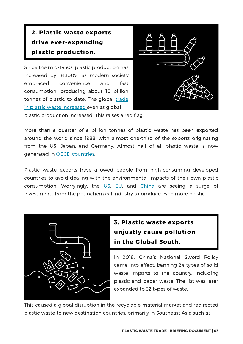# **2. Plastic waste exports drive ever-expanding plastic production.**

Since the mid-1950s, plastic production has increased by 18,300% as modern society embraced convenience and fast consumption, producing about 10 billion tonnes of plastic to date. The global trade in plastic waste [increased](https://eia-international.org/wp-content/uploads/EIA-The-Truth-Behind-Trash-FINAL.pdf) even as global



plastic production increased. This raises a red flag.

More than a quarter of a billion tonnes of plastic waste has been exported around the world since 1988, with almost one-third of the exports originating from the US, Japan, and Germany. Almost half of all plastic waste is now generated in OECD [countries](https://www.oecd.org/newsroom/plastic-pollution-is-growing-relentlessly-as-waste-management-and-recycling-fall-short.htm).

Plastic waste exports have allowed people from high-consuming developed countries to avoid dealing with the environmental impacts of their own plastic consumption. Worryingly, the  $US$ ,  $EU$ , and  $China$  are seeing a surge of investments from the petrochemical industry to produce even more plastic.



# **3. Plastic waste exports unjustly cause pollution in the Global South.**

In 2018, China's National Sword Policy came into effect, banning 24 types of solid waste imports to the country, including plastic and paper waste. The list was later expanded to 32 types of waste.

This caused a global disruption in the recyclable material market and redirected plastic waste to new destination countries, primarily in Southeast Asia such as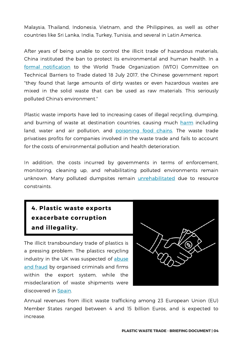[Malaysia](https://c4center.org/malaysia-is-not-a-garbage-dump-citizens-against-corruption-complacency-crime-and-climate-crisis/), Thailand, [Indonesia,](https://www.no-burn.org/wp-content/uploads/2022/02/Report-July-12-2019-Spreads-no-marks-1.pdf) [Vietnam,](https://www.reuters.com/article/us-vietnam-waste-idUSKBN1KG0KL) and the [Philippines](https://www.greenpeace.org/static/planet4-philippines-stateless/2020/03/da311344-waste-trade-in-the-philippines-report-v2.pdf), as well as other countries like Sri [Lanka](https://www.theguardian.com/environment/2019/jul/25/sri-lanka-finds-hazardous-waste-in-uk-metal-recycling-cargo), [India,](https://www.cbc.ca/news/canada/montreal/enquete-recycling-plastics-montreal-1.6345558) [Turkey,](https://www.greenpeace.org/static/planet4-turkey-stateless/2022/02/be5d1ad3-game-of-waste-global-plastic-waste-trade-impact-on-turkey-greenpeace-report.pdf) [Tunisia](https://www.africanews.com/2022/02/18/tunisia-to-return-illegally-supplied-waste-to-italy//), and several in Latin [America.](https://www.theguardian.com/environment/2021/dec/24/latin-america-urges-us-to-reduce-plastic-waste-exports-to-region)

After years of being unable to control the illicit trade of hazardous materials, China instituted the ban to protect its environmental and human health. In a formal [notification](https://perma.cc/3CUT-LEM9) to the World Trade Organization (WTO) Committee on Technical Barriers to Trade dated 18 July 2017, the Chinese government report "they found that large amounts of dirty wastes or even hazardous wastes are mixed in the solid waste that can be used as raw materials. This seriously polluted China's environment."

Plastic waste imports have led to increasing cases of illegal recycling, dumping, and burning of waste at destination countries, causing much [harm](https://www.lastbeachcleanup.org/plastic-waste-exports) including land, water and air pollution, and [poisoning](https://ipen.org/documents/plastic-waste-poisoning-food-and-threatening-communities-africa-asia-central-eastern) food chains. The waste trade privatises profits for companies involved in the waste trade and fails to account for the costs of environmental pollution and health deterioration.

In addition, the costs incurred by governments in terms of enforcement, monitoring, cleaning up, and rehabilitating polluted environments remain unknown. Many polluted dumpsites remain *[unrehabilitated](https://www.greenpeace.org/malaysia/publication/3349/the-recycling-myth-2-0/)* due to resource constraints.



**exacerbate corruption and illegality.** The illicit transboundary trade of plastics is

**4. Plastic waste exports**

a pressing problem. The plastics recycling industry in the UK was [suspected](https://www.theguardian.com/environment/2018/oct/18/uk-recycling-industry-under-investigation-for-and-corruption) of abuse and fraud by organised criminals and firms within the export system, while the misdeclaration of waste shipments were discovered in [Spain](https://rethinkplasticalliance.eu/wp-content/uploads/2021/11/RPa-ZWE-Illegal-plastic-shipments-Spain-report-1-1.pdf).

Annual [revenues](https://op.europa.eu/en/publication-detail/-/publication/ab3534a2-87a0-11eb-ac4c-01aa75ed71a1/language-en) from illicit waste trafficking among 23 European Union (EU) Member States ranged between 4 and 15 billion Euros, and is expected to increase.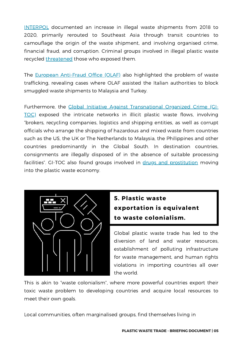[INTERPOL](https://www.interpol.int/News-and-Events/News/2020/INTERPOL-report-alerts-to-sharp-rise-in-plastic-waste-crime) documented an increase in illegal waste shipments from 2018 to 2020, primarily rerouted to Southeast Asia through transit countries to camouflage the origin of the waste shipment, and involving organised crime, financial fraud, and corruption. Criminal groups involved in illegal plastic waste recycled [threatened](https://c4center.org/c4-center-brief-no-1-good-governance-and-the-global-plastic-waste-trade/) those who exposed them.

The European [Anti-Fraud](https://ec.europa.eu/anti-fraud/media-corner/news/olafs-work-against-waste-trafficking-helps-italian-authorities-stop-illicit-waste-2021-09-02_es) Office (OLAF) also highlighted the problem of waste trafficking, revealing cases where OLAF assisted the Italian authorities to block smuggled waste shipments to Malaysia and Turkey.

[Furthermore,](https://globalinitiative.net/analysis/illicit-trade-plastic-waste/) the Global Initiative Against Transnational Organized Crime (GI-TOC) exposed the intricate networks in illicit plastic waste flows, involving "brokers, recycling companies, logistics and shipping entities, as well as corrupt officials who arrange the shipping of hazardous and mixed waste from countries such as the US, the UK or The Netherlands to Malaysia, the Philippines and other countries predominantly in the Global South. In destination countries, consignments are illegally disposed of in the absence of suitable processing facilities". GI-TOC also found groups involved in drugs and [prostitution](https://www.euronews.com/green/2021/11/15/slavery-human-trafficking-and-drugs-what-do-they-have-to-do-with-plastic-waste) moving into the plastic waste economy.



## **5. Plastic waste exportation is equivalent to waste colonialism.**

Global plastic waste trade has led to the diversion of land and water resources, establishment of polluting infrastructure for waste management, and human rights violations in importing countries all over the world.

This is akin to "waste [colonialism](https://www.no-burn.org/stop-waste-colonialism/)", where more powerful countries export their toxic waste problem to developing countries and acquire local resources to meet their own goals.

Local communities, often marginalised groups, find themselves living in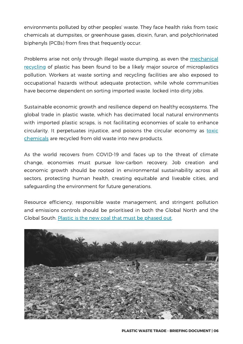environments polluted by other peoples' waste. They face health risks from toxic chemicals at dumpsites, or greenhouse gases, dioxin, furan, and [polychlorinated](https://www.greenpeace.org.uk/resources/game-of-waste-report/#:~:text=This%20report%20details%20the%20chemical,or%20the%20burning%20of%20plastics.) biphenyls (PCBs) from fires that frequently occur.

Problems arise not only through illegal waste dumping, as even the mechanical recycling of plastic has been found to be a likely major source of [microplastics](https://www.sciencedirect.com/science/article/abs/pii/S0269749122003281?via%3Dihub) pollution. Workers at waste sorting and recycling facilities are also exposed to occupational hazards without adequate protection, while whole communities have become dependent on sorting imported waste. locked into dirty jobs.

Sustainable economic growth and resilience depend on healthy ecosystems. The global trade in plastic waste, which has decimated local natural environments with imported plastic scraps, is not facilitating economies of scale to enhance circularity. It [perpetuates](https://ipen.org/documents/widespread-chemical-contamination-recycled-plastic-pellets-globally) injustice, and poisons the circular economy as toxic chemicals are recycled from old waste into new products.

As the world recovers from COVID-19 and faces up to the threat of climate change, economies must pursue low-carbon recovery. Job creation and economic growth should be rooted in environmental sustainability across all sectors, protecting human health, creating equitable and liveable cities, and safeguarding the environment for future generations.

Resource efficiency, responsible waste management, and stringent pollution and emissions controls should be prioritised in both the Global North and the Global South. [Plastic](https://static1.squarespace.com/static/5eda91260bbb7e7a4bf528d8/t/616ef29221985319611a64e0/1634661022294/REPORT_The_New-Coal_Plastics_and_Climate-Change_10-21-2021.pdf) is the new coal that must be phased out.

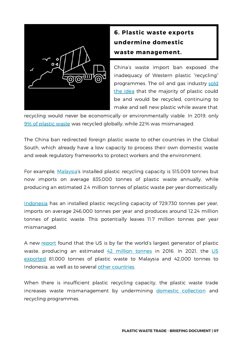

# **6. Plastic waste exports undermine domestic waste management.**

China's waste import ban exposed the inadequacy of Western plastic "recycling" [programmes.](https://www.npr.org/2020/09/11/897692090/how-big-oil-misled-the-public-into-believing-plastic-would-be-recycled) The oil and gas industry sold the idea that the majority of plastic could be and would be recycled, continuing to make and sell new plastic while aware that

recycling would never be economically or environmentally viable. In 2019, only [9%](https://www.oecd.org/newsroom/plastic-pollution-is-growing-relentlessly-as-waste-management-and-recycling-fall-short.htm) of plastic waste was recycled globally, while 22% was mismanaged.

The China ban redirected foreign plastic waste to other countries in the Global South, which already have a low capacity to process their own domestic waste and weak regulatory frameworks to protect workers and the environment.

For example, [Malaysia'](https://eia-international.org/wp-content/uploads/EIA-The-Truth-Behind-Trash-FINAL.pdf)s installed plastic recycling capacity is 515,009 tonnes but now imports on average 835,000 tonnes of plastic waste annually, while producing an estimated 2.4 million tonnes of plastic waste per year domestically.

[Indonesia](https://eia-international.org/wp-content/uploads/EIA-The-Truth-Behind-Trash-FINAL.pdf) has an installed plastic recycling capacity of 729,730 tonnes per year, imports on average 246,000 tonnes per year and produces around 12.24 million tonnes of plastic waste. This potentially leaves 11.7 million tonnes per year mismanaged.

A new [report](https://www.nap.edu/catalog/26132/reckoning-with-the-us-role-in-global-ocean-plastic-waste) found that the US is by far the world's largest generator of plastic waste, [producing](https://www.ban.org/plastic-waste-project-hub/trade-data/usa-export-data-2021-annual-summary) an estimated  $42$  [million](https://www.nationalgeographic.com/environment/article/us-plastic-pollution) tonnes in 2016. In 2021, the US exported 81,000 tonnes of plastic waste to Malaysia and 42,000 tonnes to Indonesia, as well as to several other [countries](https://www.theguardian.com/us-news/2019/jun/17/recycled-plastic-america-global-crisis).

When there is insufficient plastic recycling capacity, the plastic waste trade increases waste mismanagement by undermining domestic [collection](https://chinadialogue.net/en/cities/thai-saleng-trash-collectors-livelihoods-threatened-by-waste-imports/) and recycling programmes.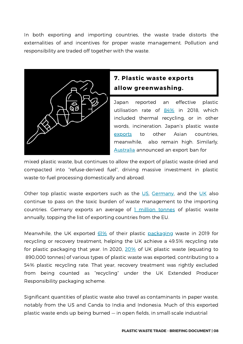In both exporting and importing countries, the waste trade distorts the externalities of and incentives for proper waste management. Pollution and responsibility are traded off together with the waste.



#### **7. Plastic waste exports allow greenwashing.**

Japan reported an effective plastic utilisation rate of [84%](https://www.pwmi.or.jp/ei/plastic_recycling_2019.pdf) in 2018, which included thermal recycling, or in other words, incineration. Japan's plastic waste [exports](https://www.ban.org/plastic-waste-project-hub/trade-data/japan-export-data) to other Asian countries, meanwhile, also remain high. Similarly, [Australia](https://ipen.org/news/plastic-waste-fuels#media) announced an export ban for

mixed plastic waste, but continues to allow the export of plastic waste dried and compacted into "refuse-derived fuel", driving massive investment in plastic waste-to-fuel processing domestically and abroad.

Other top plastic waste exporters such as the  $US$ , [Germany](https://www.ban.org/news/2021/12/1/environmental-groups-move-quickly-and-block-the-export-of-german-plastic-waste-to-vietnam), and the  $UK$  also continue to pass on the toxic burden of waste management to the importing countries. Germany exports an average of  $1$  [million](https://waste-management-world.com/a/germany-s-problems-with-plastic-waste) tonnes of plastic waste annually, topping the list of exporting countries from the EU.

Meanwhile, the UK exported [61%](https://www.bpf.co.uk/press/exporting-plastic-waste-for-recycling.aspx) of their plastic [packaging](https://www.recoup.org/p/380/uk-household-plastics-collection-survey-2020) waste in 2019 for recycling or recovery treatment, helping the UK achieve a 49.5% recycling rate for plastic packaging that year. In 2020, [20%](https://eia-international.org/report/the-uks-trade-in-plastic-waste/) of UK plastic waste (equating to 890,000 tonnes) of various types of plastic waste was exported, contributing to a 54% plastic recycling rate. That year, recovery treatment was rightly excluded from being counted as "recycling" under the UK Extended Producer Responsibility packaging scheme.

Significant quantities of plastic waste also travel as [contaminants](https://www.no-burn.org/wp-content/uploads/2022/02/UNEA-publication-packet_waste-trade.pdf) in paper waste, notably from the US and Canda to [India](https://www.cbc.ca/news/canada/montreal/enquete-recycling-plastics-montreal-1.6345558) and [Indonesia](https://www.nytimes.com/2019/11/14/world/asia/indonesia-tofu-dioxin-plastic.html). Much of this exported plastic waste ends up being burned — in open fields, in small-scale industrial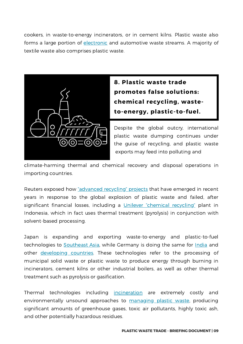cookers, in waste-to-energy incinerators, or in cement kilns. Plastic waste also forms a large portion of [electronic](https://www.greenpeace.org/static/planet4-malaysia-stateless/2020/05/4dbab0db-the-recycling-myth-2.0-the-toxic-after-effects-of-imported-plastic-waste-in-malaysia.pdf) and automotive waste streams. A majority of textile waste also comprises plastic waste.



**8. Plastic waste trade promotes false solutions: chemical recycling, wasteto-energy, plastic-to-fuel.**

Despite the global outcry, international plastic waste dumping continues under the guise of recycling, and plastic waste exports may feed into polluting and

climate-harming thermal and chemical recovery and disposal operations in importing countries.

Reuters exposed how ["advanced](https://www.reuters.com/investigates/special-report/environment-plastic-oil-recycling/) recycling" projects that have emerged in recent years in response to the global explosion of plastic waste and failed, after significant financial losses, including a [Unilever](https://www.no-burn.org/investigation-reveals-unilevers-expensive-plastic-sachet-chemical-recycling-failure/) ["chemical](https://www.no-burn.org/chemical-recycling-resources/) recycling" plant in Indonesia, which in fact uses thermal treatment (pyrolysis) in conjunction with solvent-based processing.

Japan is expanding and exporting waste-to-energy and plastic-to-fuel technologies to [Southeast](https://asia.nikkei.com/Spotlight/Environment/Southeast-Asia-s-trash-Japan-Inc.-s-power-generating-treasure) Asia, while Germany is doing the same for [India](https://www.giz.de/en/worldwide/66438.html) and other [developing](http://events.development.asia/system/files/materials/2016/09/201609-waste-energy-options-developing-countries-giz-perspective.pdf) countries. These technologies refer to the processing of municipal solid waste or plastic waste to produce energy through burning in incinerators, cement kilns or other industrial boilers, as well as other thermal treatment such as pyrolysis or gasification.

Thermal technologies including [incineration](https://www.no-burn.org/incineration/) are extremely costly and environmentally unsound approaches to [managing](https://www.ciel.org/wp-content/uploads/2019/02/OEEG-3-Position_-Urgency-of-Plastic-Pollution-Crisis.pdf) plastic waste, producing significant amounts of greenhouse gases, toxic air pollutants, highly toxic ash, and other potentially hazardous residues.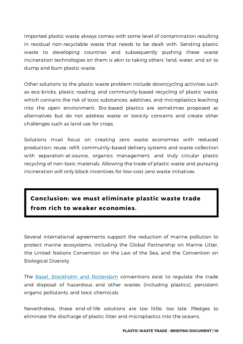Imported plastic waste always comes with some level of contamination resulting in residual non-recyclable waste that needs to be dealt with. Sending plastic waste to developing countries and subsequently pushing these waste incineration technologies on them is akin to taking others' land, water, and air to dump and burn plastic waste.

Other solutions to the plastic waste problem include downcycling activities such as eco-bricks, plastic roading, and community-based recycling of plastic waste, which contains the risk of toxic substances, additives, and microplastics leaching into the open environment. Bio-based plastics are sometimes proposed as alternatives but do not address waste or toxicity concerns and create other challenges such as land use for crops.

Solutions must focus on creating zero waste economies with reduced production, reuse, refill, community-based delivery systems and waste collection with separation-at-source, organics management, and truly circular plastic recycling of non-toxic materials. Allowing the trade of plastic waste and pursuing incineration will only block incentives for low-cost zero waste initiatives.

### **Conclusion: we must eliminate plastic waste trade from rich to weaker economies.**

Several international agreements support the reduction of marine pollution to protect marine ecosystems, including the Global Partnership on Marine Litter, the United Nations Convention on the Law of the Sea, and the Convention on Biological Diversity.

The Basel, Stockholm and [Rotterdam](http://www.basel.int/Portals/4/download.aspx?d=UNEP-CHW-LEAFLET-PUB-Brochure-PlasticPollution-2022.English.pdf) conventions exist to regulate the trade and disposal of hazardous and other wastes (including plastics), persistent organic pollutants, and toxic chemicals.

Nevertheless, these end-of-life solutions are too little, too late. Pledges to eliminate the discharge of plastic litter and microplastics into the oceans,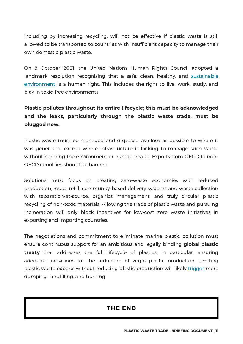including by increasing recycling, will not be effective if plastic waste is still allowed to be transported to countries with insufficient capacity to manage their own domestic plastic waste.

On 8 October 2021, the United Nations Human Rights Council adopted a landmark resolution recognising that a safe, clean, healthy, and sustainable [environment](https://undocs.org/a/hrc/48/l.23/rev.1) is a human right. This includes the right to live, work, study, and play in toxic-free environments.

#### **Plastic pollutes throughout its entire lifecycle; this must be acknowledged and the leaks, particularly through the plastic waste trade, must be plugged now.**

Plastic waste must be managed and disposed as close as possible to where it was generated, except where infrastructure is lacking to manage such waste without harming the environment or human health. Exports from OECD to non-OECD countries should be banned.

Solutions must focus on creating zero-waste economies with reduced production, reuse, refill, community-based delivery systems and waste collection with separation-at-source, organics management, and truly circular plastic recycling of non-toxic materials. Allowing the trade of plastic waste and pursuing incineration will only block incentives for low-cost zero waste initiatives in exporting and importing countries.

The negotiations and commitment to eliminate marine plastic pollution must ensure continuous support for an ambitious and legally binding **global plastic treaty** that addresses the full lifecycle of plastics, in particular, ensuring adequate provisions for the reduction of virgin plastic production. Limiting plastic waste exports without reducing plastic production will likely [trigger](https://www.no-burn.org/wp-content/uploads/2022/04/UNEA-publication-packet_waste-trade.pdf) more dumping, landfilling, and burning.

#### **THE END**